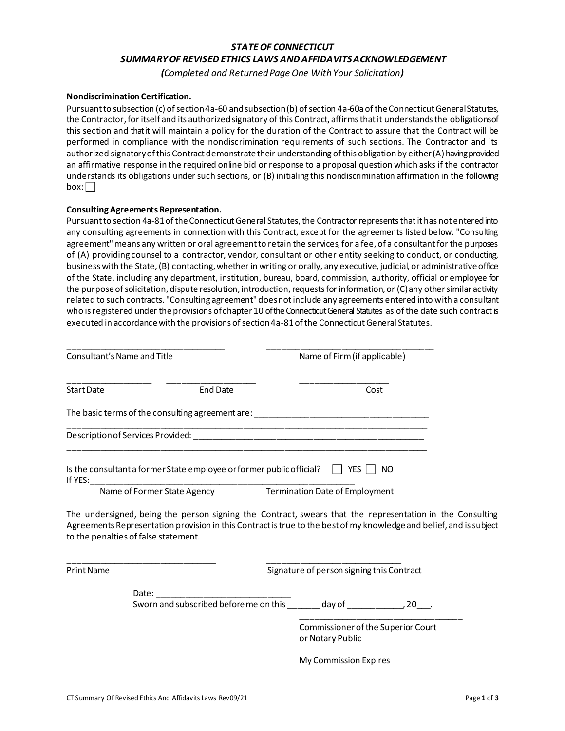## *STATE OF CONNECTICUT SUMMARY OF REVISED ETHICS LAWS AND AFFIDAVITS ACKNOWLEDGEMENT*

*(Completed and Returned Page One With Your Solicitation)* 

#### **Nondiscrimination Certification.**

Pursuant to subsection (c) of section 4a-60 and subsection (b) of section 4a-60a of the Connecticut General Statutes, the Contractor, for itself and its authorized signatory of this Contract, affirms that it understands the obligationsof this section and that it will maintain a policy for the duration of the Contract to assure that the Contract will be performed in compliance with the nondiscrimination requirements of such sections. The Contractor and its authorized signatory of this Contract demonstrate their understanding of this obligation by either (A) having provided an affirmative response in the required online bid or response to a proposal question which asks if the contractor understands its obligations under such sections, or (B) initialing this nondiscrimination affirmation in the following  $box: \Box$ 

#### **Consulting Agreements Representation.**

Pursuant to section 4a-81 of the Connecticut General Statutes, the Contractor represents that it has not entered into any consulting agreements in connection with this Contract, except for the agreements listed below. "Consulting agreement" means any written or oral agreement to retain the services, for a fee, of a consultant for the purposes of (A) providing counsel to a contractor, vendor, consultant or other entity seeking to conduct, or conducting, business with the State, (B) contacting,whether in writing or orally, any executive, judicial, or administrative office of the State, including any department, institution, bureau, board, commission, authority, official or employee for the purpose of solicitation, dispute resolution, introduction, requests for information, or (C) any other similar activity related to such contracts. "Consulting agreement" does not include any agreements entered into with a consultant who is registered under the provisions of chapter 10 of the Connecticut General Statutes as of the date such contract is executed in accordance with the provisions of section 4a-81 of the Connecticut General Statutes.

| Consultant's Name and Title                                                     |                             | Name of Firm (if applicable)          |
|---------------------------------------------------------------------------------|-----------------------------|---------------------------------------|
| <b>Start Date</b>                                                               | End Date                    | Cost                                  |
| The basic terms of the consulting agreement are:                                |                             |                                       |
| Description of Services Provided:                                               |                             |                                       |
| Is the consultant a former State employee or former public official?<br>If YES: |                             | YES<br>NΟ                             |
|                                                                                 | Name of Former State Agency | <b>Termination Date of Employment</b> |

\_\_\_\_\_\_\_\_\_\_\_\_\_\_\_\_\_\_\_\_\_\_\_\_\_\_\_\_\_\_\_\_ \_\_\_\_\_\_\_\_\_\_\_\_\_\_\_\_\_\_\_\_\_\_\_\_\_\_\_\_\_

The undersigned, being the person signing the Contract, swears that the representation in the Consulting Agreements Representation provision in this Contract is true to the best of my knowledge and belief, and is subject to the penalties of false statement.

Print Name Signature of person signing this Contract

Sworn and subscribed before me on this \_\_\_\_\_\_ day of \_\_\_\_\_\_\_\_\_\_, 20\_\_\_.

\_\_\_\_\_\_\_\_\_\_\_\_\_\_\_\_\_\_\_\_\_\_\_\_\_\_\_\_\_\_\_\_\_\_\_ Commissioner of the Superior Court or Notary Public

\_\_\_\_\_\_\_\_\_\_\_\_\_\_\_\_\_\_\_\_\_\_\_\_\_\_\_\_\_ My Commission Expires

Date: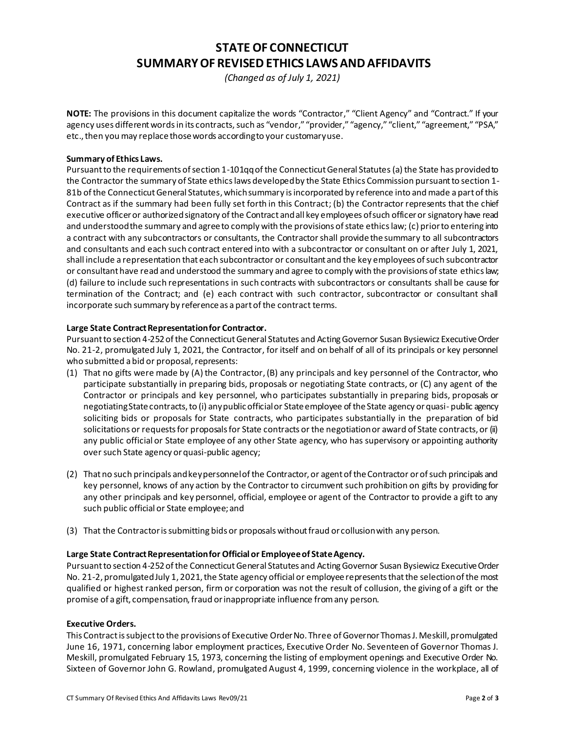# **STATE OF CONNECTICUT SUMMARY OF REVISED ETHICS LAWS AND AFFIDAVITS**

*(Changed as of July 1, 2021)*

**NOTE:** The provisions in this document capitalize the words "Contractor," "Client Agency" and "Contract." If your agency uses different words in its contracts, such as "vendor," "provider," "agency," "client," "agreement," "PSA," etc., then you may replace those words according to your customary use.

#### **Summary of Ethics Laws.**

Pursuant to the requirements of section 1-101qq of the Connecticut General Statutes (a) the State has provided to the Contractor the summary of State ethics laws developed by the State Ethics Commission pursuant to section 1- 81b of the Connecticut General Statutes, which summary is incorporated by reference into and made a part of this Contract as if the summary had been fully set forth in this Contract; (b) the Contractor represents that the chief executive officer or authorized signatory of the Contract and all key employees of such officer or signatory have read and understood the summary and agree to comply with the provisions of state ethicslaw; (c) prior to entering into a contract with any subcontractors or consultants, the Contractorshall provide thesummary to all subcontractors and consultants and each such contract entered into with a subcontractor or consultant on or after July 1, 2021, shall include a representation that each subcontractor or consultant and the key employees of such subcontractor or consultant have read and understood the summary and agree to comply with the provisions of state ethicslaw; (d) failure to include such representations in such contracts with subcontractors or consultants shall be cause for termination of the Contract; and (e) each contract with such contractor, subcontractor or consultant shall incorporate such summary by reference as a part of the contract terms.

#### **Large State Contract Representation for Contractor.**

Pursuant to section 4-252 of the Connecticut General Statutes and Acting Governor Susan Bysiewicz Executive Order No. 21-2, promulgated July 1, 2021, the Contractor, for itself and on behalf of all of its principals or key personnel who submitted a bid or proposal, represents:

- (1) That no gifts were made by (A) the Contractor, (B) any principals and key personnel of the Contractor, who participate substantially in preparing bids, proposals or negotiating State contracts, or (C) any agent of the Contractor or principals and key personnel, who participates substantially in preparing bids, proposals or negotiating State contracts, to (i) any public official or State employee of the State agency or quasi- public agency soliciting bids or proposals for State contracts, who participates substantially in the preparation of bid solicitations or requests for proposals for State contracts or the negotiation or award of State contracts, or (ii) any public official or State employee of any other State agency, who has supervisory or appointing authority over such State agency or quasi-public agency;
- (2) That no such principals and key personnel of the Contractor, or agent of the Contractor or of such principals and key personnel, knows of any action by the Contractor to circumvent such prohibition on gifts by providing for any other principals and key personnel, official, employee or agent of the Contractor to provide a gift to any such public official or State employee; and
- (3) That the Contractor is submitting bids or proposals without fraud or collusion with any person.

#### **Large State Contract Representation for Official or Employee of State Agency.**

Pursuant to section 4-252 of the Connecticut General Statutes and Acting Governor Susan Bysiewicz Executive Order No. 21-2, promulgated July 1, 2021, the State agency official or employee represents that the selection of the most qualified or highest ranked person, firm or corporation was not the result of collusion, the giving of a gift or the promise of a gift, compensation, fraud or inappropriate influence from any person.

#### **Executive Orders.**

This Contract is subject to the provisions of Executive Order No. Three of Governor Thomas J. Meskill, promulgated June 16, 1971, concerning labor employment practices, Executive Order No. Seventeen of Governor Thomas J. Meskill, promulgated February 15, 1973, concerning the listing of employment openings and Executive Order No. Sixteen of Governor John G. Rowland, promulgated August 4, 1999, concerning violence in the workplace, all of